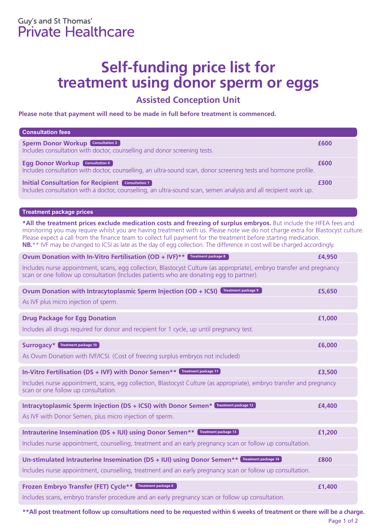## **Self-funding price list for treatment using donor sperm or eggs**

## **Assisted Conception Unit**

**Please note that payment will need to be made in full before treatment is commenced.**

| <b>Consultation fees</b>                                                                                                                                                                                                                                                                                                                                                                                                                                                                              |        |
|-------------------------------------------------------------------------------------------------------------------------------------------------------------------------------------------------------------------------------------------------------------------------------------------------------------------------------------------------------------------------------------------------------------------------------------------------------------------------------------------------------|--------|
| <b>Sperm Donor Workup Consultation 3</b><br>Includes consultation with doctor, counselling and donor screening tests.                                                                                                                                                                                                                                                                                                                                                                                 | £600   |
| <b>Egg Donor Workup Consultation 4</b><br>Includes consultation with doctor, counselling, an ultra-sound scan, donor screening tests and hormone profile.                                                                                                                                                                                                                                                                                                                                             | £600   |
| <b>Initial Consultation for Recipient Consultation 1</b><br>Includes consultation with a doctor, counselling, an ultra-sound scan, semen analysis and all recipient work up.                                                                                                                                                                                                                                                                                                                          | £300   |
| <b>Treatment package prices</b>                                                                                                                                                                                                                                                                                                                                                                                                                                                                       |        |
| *All the treatment prices exclude medication costs and freezing of surplus embryos. But include the HFEA fees and<br>monitoring you may require whilst you are having treatment with us. Please note we do not charge extra for Blastocyst culture.<br>Please expect a call from the finance team to collect full payment for the treatment before starting medication.<br>NB.** IVF may be changed to ICSI as late as the day of egg collection. The difference in cost will be charged accordingly. |        |
| Ovum Donation with In-Vitro Fertilisation (OD + IVF)** Treatment package 8                                                                                                                                                                                                                                                                                                                                                                                                                            | £4,950 |
| Includes nurse appointment, scans, egg collection, Blastocyst Culture (as appropriate), embryo transfer and pregnancy<br>scan or one follow up consultation (Includes patients who are donating egg to partner).                                                                                                                                                                                                                                                                                      |        |
| <b>Treatment package 9</b><br>Ovum Donation with Intracytoplasmic Sperm Injection (OD + ICSI)<br>As IVF plus micro injection of sperm.                                                                                                                                                                                                                                                                                                                                                                | £5,650 |
| <b>Drug Package for Egg Donation</b>                                                                                                                                                                                                                                                                                                                                                                                                                                                                  | £1,000 |
| Includes all drugs required for donor and recipient for 1 cycle, up until pregnancy test.                                                                                                                                                                                                                                                                                                                                                                                                             |        |
| <b>Surrogacy*</b> Treatment package 10                                                                                                                                                                                                                                                                                                                                                                                                                                                                | £6,000 |
| As Ovum Donation with IVF/ICSI. (Cost of freezing surplus embryos not included)                                                                                                                                                                                                                                                                                                                                                                                                                       |        |
| In-Vitro Fertilisation (DS + IVF) with Donor Semen** Treatment package 11                                                                                                                                                                                                                                                                                                                                                                                                                             | £3,500 |
| Includes nurse appointment, scans, egg collection, Blastocyst Culture (as appropriate), embryo transfer and pregnancy<br>scan or one follow up consultation.                                                                                                                                                                                                                                                                                                                                          |        |
| Intracytoplasmic Sperm Injection (DS + ICSI) with Donor Semen* Treatment package 12                                                                                                                                                                                                                                                                                                                                                                                                                   | £4,400 |
| As IVF with Donor Semen, plus micro injection of sperm.                                                                                                                                                                                                                                                                                                                                                                                                                                               |        |
| Intrauterine Insemination (DS + IUI) using Donor Semen** Treatment package 13                                                                                                                                                                                                                                                                                                                                                                                                                         | £1,200 |
| Includes nurse appointment, counselling, treatment and an early pregnancy scan or follow up consultation.                                                                                                                                                                                                                                                                                                                                                                                             |        |
| Un-stimulated Intrauterine Insemination (DS + IUI) using Donor Semen** Treatment package 14                                                                                                                                                                                                                                                                                                                                                                                                           | £800   |
| Includes nurse appointment, counselling, treatment and an early pregnancy scan or follow up consultation.                                                                                                                                                                                                                                                                                                                                                                                             |        |
| Frozen Embryo Transfer (FET) Cycle** Treatment package 6                                                                                                                                                                                                                                                                                                                                                                                                                                              | £1,400 |
| Includes scans, embryo transfer procedure and an early pregnancy scan or follow up consultation.                                                                                                                                                                                                                                                                                                                                                                                                      |        |

**\*\*All post treatment follow up consultations need to be requested within 6 weeks of treatment or there will be a charge.**